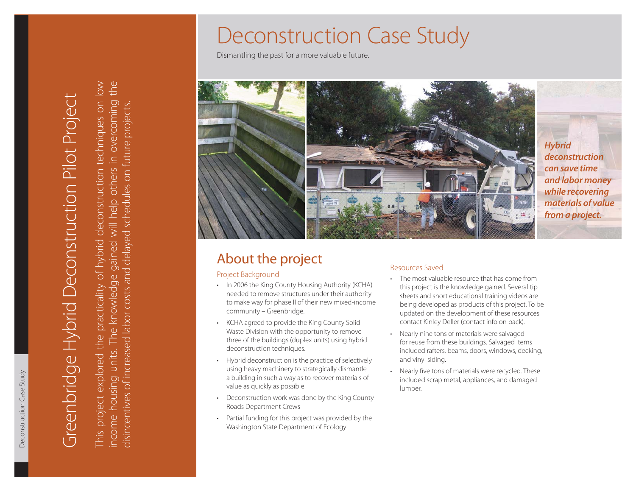# Deconstruction Case Study

Dismantling the past for a more valuable future.



## About the project Resources Saved

### Project Background

- In 2006 the King County Housing Authority (KCHA) needed to remove structures under their authority to make way for phase II of their new mixed-income community – Greenbridge.
- KCHA agreed to provide the King County Solid Waste Division with the opportunity to remove three of the buildings (duplex units) using hybrid deconstruction techniques.
- Hybrid deconstruction is the practice of selectively using heavy machinery to strategically dismantle a building in such a way as to recover materials of value as quickly as possible
- Deconstruction work was done by the King County Roads Department Crews
- Partial funding for this project was provided by the Washington State Department of Ecology

- The most valuable resource that has come from this project is the knowledge gained. Several tip sheets and short educational training videos are being developed as products of this project. To be updated on the development of these resources contact Kinley Deller (contact info on back).
- Nearly nine tons of materials were salvaged for reuse from these buildings. Salvaged items included rafters, beams, doors, windows, decking, and vinyl siding.
- Nearly five tons of materials were recycled. These included scrap metal, appliances, and damaged lumber.

This project explored the practicality of hybrid deconstruction techniques on low the income housing units. The knowledge gained will help others in overcoming the This project explored the practicality of hybrid deconstruction techniques on low income housing units. The knowledge gained will help others in overcoming

Greenbridge Hybrid Deconstruction Pilot Project

Greenbridge Hybrid Deconstruction Pilot Project